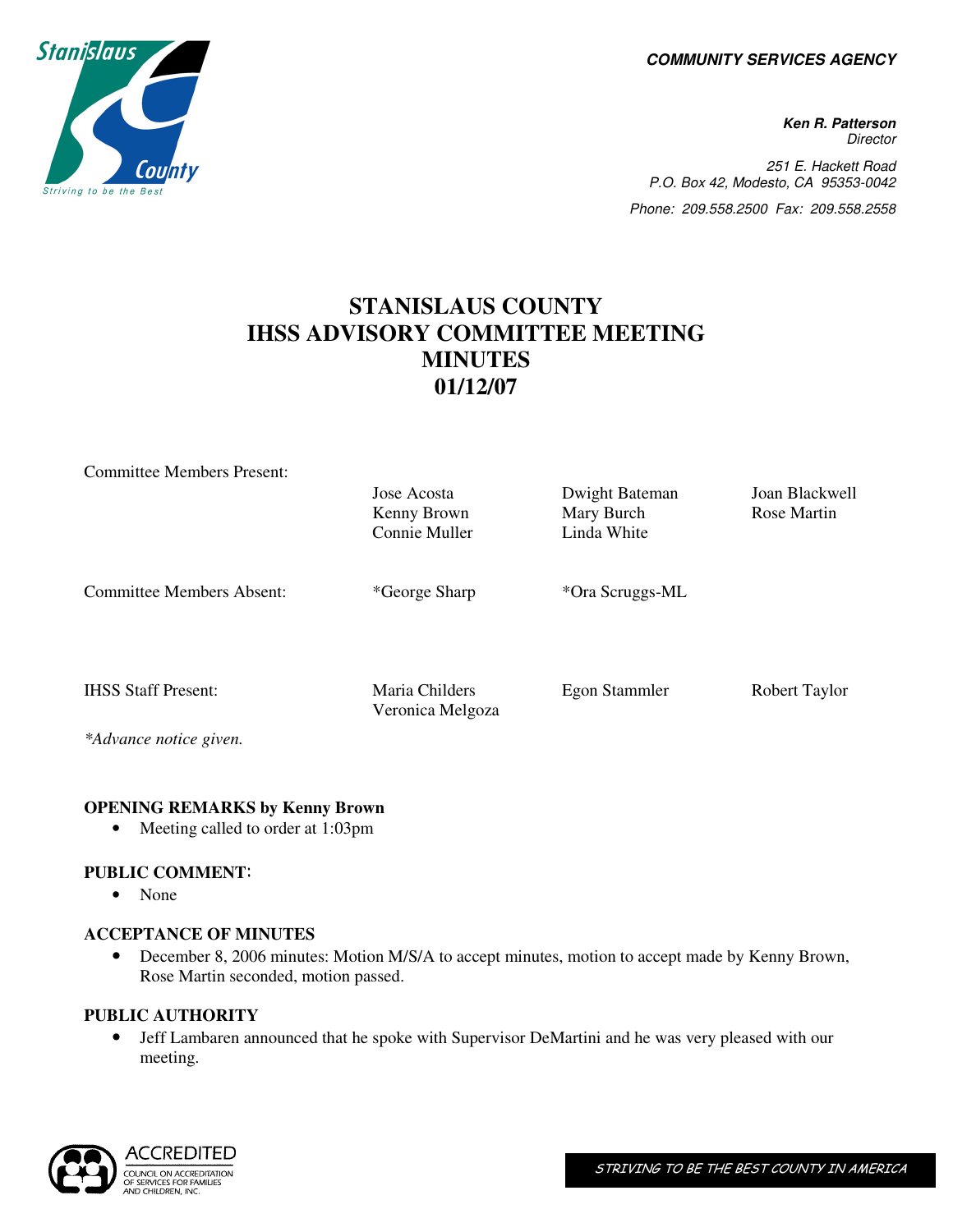**COMMUNITY SERVICES AGENCY** 

**Ken R. Patterson Director** 251 E. Hackett Road P.O. Box 42, Modesto, CA 95353-0042 Phone: 209.558.2500 Fax: 209.558.2558

# **STANISLAUS COUNTY IHSS ADVISORY COMMITTEE MEETING MINUTES 01/12/07**

| <b>Committee Members Present:</b> |                  |                 |                |
|-----------------------------------|------------------|-----------------|----------------|
|                                   | Jose Acosta      | Dwight Bateman  | Joan Blackwell |
|                                   | Kenny Brown      | Mary Burch      | Rose Martin    |
|                                   | Connie Muller    | Linda White     |                |
|                                   |                  |                 |                |
|                                   |                  |                 |                |
| Committee Members Absent:         | *George Sharp    | *Ora Scruggs-ML |                |
|                                   |                  |                 |                |
|                                   |                  |                 |                |
|                                   |                  |                 |                |
| <b>IHSS Staff Present:</b>        | Maria Childers   | Egon Stammler   | Robert Taylor  |
|                                   | Veronica Melgoza |                 |                |
| *Advance notice given.            |                  |                 |                |

#### **OPENING REMARKS by Kenny Brown**

• Meeting called to order at 1:03pm

## **PUBLIC COMMENT**:

• None

#### **ACCEPTANCE OF MINUTES**

• December 8, 2006 minutes: Motion M/S/A to accept minutes, motion to accept made by Kenny Brown, Rose Martin seconded, motion passed.

#### **PUBLIC AUTHORITY**

• Jeff Lambaren announced that he spoke with Supervisor DeMartini and he was very pleased with our meeting.



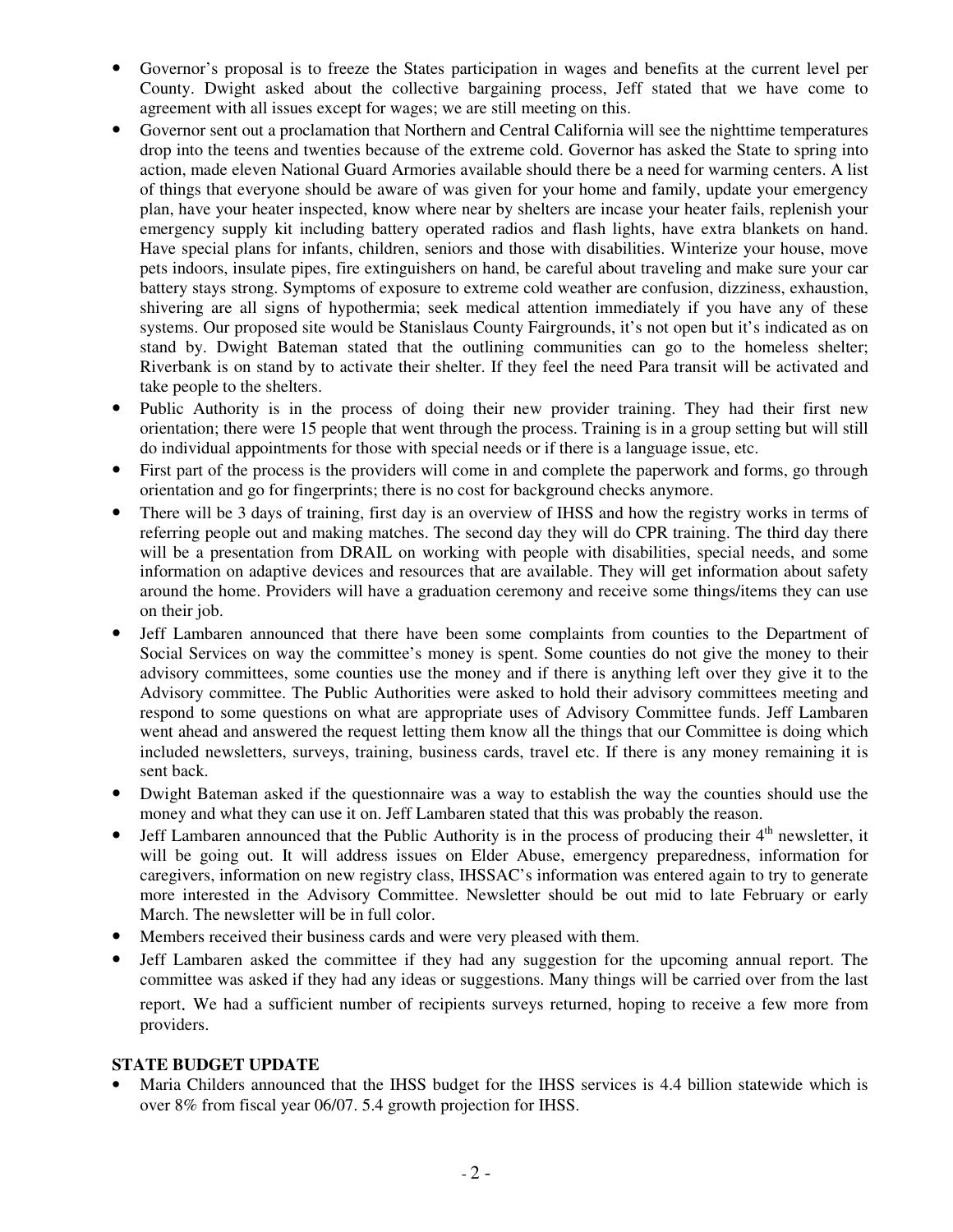- Governor's proposal is to freeze the States participation in wages and benefits at the current level per County. Dwight asked about the collective bargaining process, Jeff stated that we have come to agreement with all issues except for wages; we are still meeting on this.
- Governor sent out a proclamation that Northern and Central California will see the nighttime temperatures drop into the teens and twenties because of the extreme cold. Governor has asked the State to spring into action, made eleven National Guard Armories available should there be a need for warming centers. A list of things that everyone should be aware of was given for your home and family, update your emergency plan, have your heater inspected, know where near by shelters are incase your heater fails, replenish your emergency supply kit including battery operated radios and flash lights, have extra blankets on hand. Have special plans for infants, children, seniors and those with disabilities. Winterize your house, move pets indoors, insulate pipes, fire extinguishers on hand, be careful about traveling and make sure your car battery stays strong. Symptoms of exposure to extreme cold weather are confusion, dizziness, exhaustion, shivering are all signs of hypothermia; seek medical attention immediately if you have any of these systems. Our proposed site would be Stanislaus County Fairgrounds, it's not open but it's indicated as on stand by. Dwight Bateman stated that the outlining communities can go to the homeless shelter; Riverbank is on stand by to activate their shelter. If they feel the need Para transit will be activated and take people to the shelters.
- Public Authority is in the process of doing their new provider training. They had their first new orientation; there were 15 people that went through the process. Training is in a group setting but will still do individual appointments for those with special needs or if there is a language issue, etc.
- First part of the process is the providers will come in and complete the paperwork and forms, go through orientation and go for fingerprints; there is no cost for background checks anymore.
- There will be 3 days of training, first day is an overview of IHSS and how the registry works in terms of referring people out and making matches. The second day they will do CPR training. The third day there will be a presentation from DRAIL on working with people with disabilities, special needs, and some information on adaptive devices and resources that are available. They will get information about safety around the home. Providers will have a graduation ceremony and receive some things/items they can use on their job.
- Jeff Lambaren announced that there have been some complaints from counties to the Department of Social Services on way the committee's money is spent. Some counties do not give the money to their advisory committees, some counties use the money and if there is anything left over they give it to the Advisory committee. The Public Authorities were asked to hold their advisory committees meeting and respond to some questions on what are appropriate uses of Advisory Committee funds. Jeff Lambaren went ahead and answered the request letting them know all the things that our Committee is doing which included newsletters, surveys, training, business cards, travel etc. If there is any money remaining it is sent back.
- Dwight Bateman asked if the questionnaire was a way to establish the way the counties should use the money and what they can use it on. Jeff Lambaren stated that this was probably the reason.
- Jeff Lambaren announced that the Public Authority is in the process of producing their  $4<sup>th</sup>$  newsletter, it will be going out. It will address issues on Elder Abuse, emergency preparedness, information for caregivers, information on new registry class, IHSSAC's information was entered again to try to generate more interested in the Advisory Committee. Newsletter should be out mid to late February or early March. The newsletter will be in full color.
- Members received their business cards and were very pleased with them.
- Jeff Lambaren asked the committee if they had any suggestion for the upcoming annual report. The committee was asked if they had any ideas or suggestions. Many things will be carried over from the last report. We had a sufficient number of recipients surveys returned, hoping to receive a few more from providers.

#### **STATE BUDGET UPDATE**

• Maria Childers announced that the IHSS budget for the IHSS services is 4.4 billion statewide which is over 8% from fiscal year 06/07. 5.4 growth projection for IHSS.